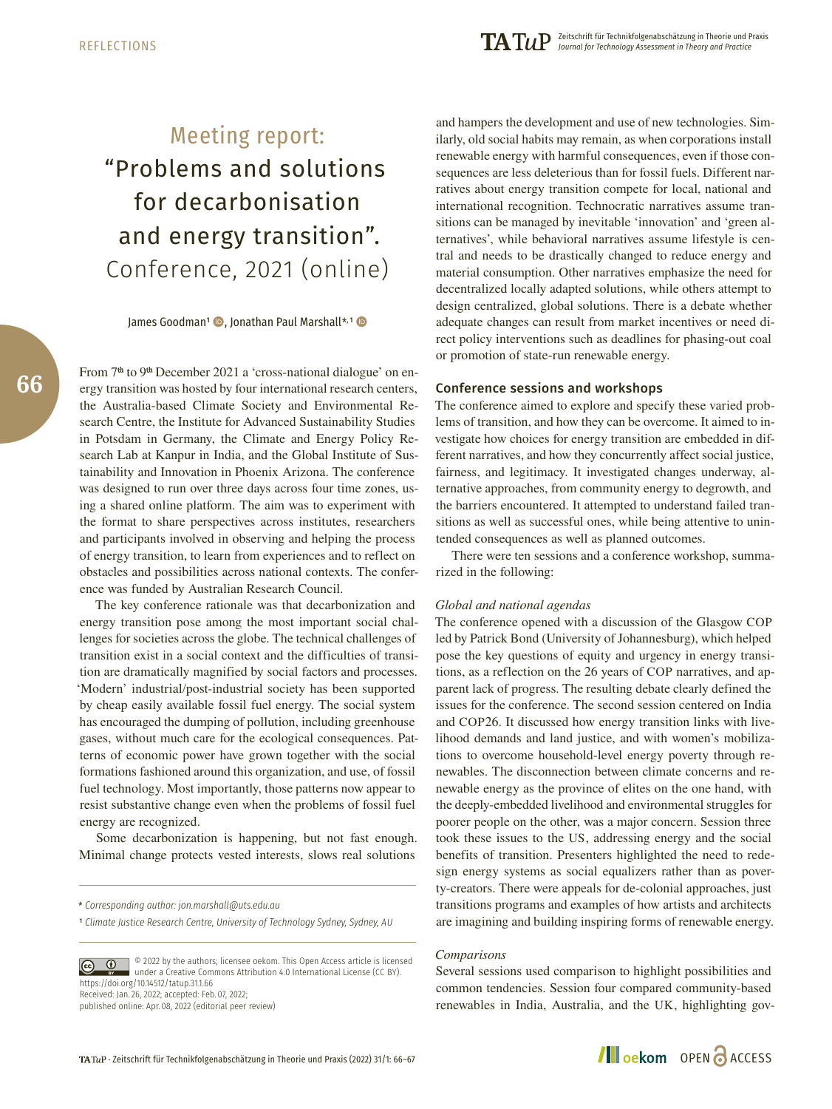# Meeting report: "Problems and solutions for decarbonisation and energy transition". Conference, 2021 (online)

James Goodman<sup>1</sup> , Jonathan Paul Marshall\*,<sup>1</sup>

From 7<sup>th</sup> to 9<sup>th</sup> December 2021 a 'cross-national dialogue' on energy transition was hosted by four international research centers, the Australia-based Climate Society and Environmental Research Centre, the Institute for Advanced Sustainability Studies in Potsdam in Germany, the Climate and Energy Policy Research Lab at Kanpur in India, and the Global Institute of Sustainability and Innovation in Phoenix Arizona. The conference was designed to run over three days across four time zones, using a shared online platform. The aim was to experiment with the format to share perspectives across institutes, researchers and participants involved in observing and helping the process of energy transition, to learn from experiences and to reflect on obstacles and possibilities across national contexts. The conference was funded by Australian Research Council.

The key conference rationale was that decarbonization and energy transition pose among the most important social challenges for societies across the globe. The technical challenges of transition exist in a social context and the difficulties of transition are dramatically magnified by social factors and processes. 'Modern' industrial/post-industrial society has been supported by cheap easily available fossil fuel energy. The social system has encouraged the dumping of pollution, including greenhouse gases, without much care for the ecological consequences. Patterns of economic power have grown together with the social formations fashioned around this organization, and use, of fossil fuel technology. Most importantly, those patterns now appear to resist substantive change even when the problems of fossil fuel energy are recognized.

Some decarbonization is happening, but not fast enough. Minimal change protects vested interests, slows real solutions

© 2022 by the authors; licensee oekom. This Open Access article is licensed under a Creative Commons Attribution 4.0 International License (CC BY). <https://doi.org/10.14512/tatup.31.1.66> Received: Jan. 26, 2022; accepted: Feb. 07, 2022; published online: Apr. 08, 2022 (editorial peer review)

and hampers the development and use of new technologies. Similarly, old social habits may remain, as when corporations install renewable energy with harmful consequences, even if those consequences are less deleterious than for fossil fuels. Different narratives about energy transition compete for local, national and international recognition. Technocratic narratives assume transitions can be managed by inevitable 'innovation' and 'green alternatives', while behavioral narratives assume lifestyle is central and needs to be drastically changed to reduce energy and material consumption. Other narratives emphasize the need for decentralized locally adapted solutions, while others attempt to design centralized, global solutions. There is a debate whether adequate changes can result from market incentives or need direct policy interventions such as deadlines for phasing-out coal or promotion of state-run renewable energy.

### Conference sessions and workshops

The conference aimed to explore and specify these varied problems of transition, and how they can be overcome. It aimed to investigate how choices for energy transition are embedded in different narratives, and how they concurrently affect social justice, fairness, and legitimacy. It investigated changes underway, alternative approaches, from community energy to degrowth, and the barriers encountered. It attempted to understand failed transitions as well as successful ones, while being attentive to unintended consequences as well as planned outcomes.

There were ten sessions and a conference workshop, summarized in the following:

#### *Global and national agendas*

The conference opened with a discussion of the Glasgow COP led by Patrick Bond (University of Johannesburg), which helped pose the key questions of equity and urgency in energy transitions, as a reflection on the 26 years of COP narratives, and apparent lack of progress. The resulting debate clearly defined the issues for the conference. The second session centered on India and COP26. It discussed how energy transition links with livelihood demands and land justice, and with women's mobilizations to overcome household-level energy poverty through renewables. The disconnection between climate concerns and renewable energy as the province of elites on the one hand, with the deeply-embedded livelihood and environmental struggles for poorer people on the other, was a major concern. Session three took these issues to the US, addressing energy and the social benefits of transition. Presenters highlighted the need to redesign energy systems as social equalizers rather than as poverty-creators. There were appeals for de-colonial approaches, just transitions programs and examples of how artists and architects are imagining and building inspiring forms of renewable energy.

#### *Comparisons*

Several sessions used comparison to highlight possibilities and common tendencies. Session four compared community-based renewables in India, Australia, and the UK, highlighting gov-

## **Illoekom** OPEN **a** ACCESS

<sup>\*</sup> *Corresponding author: [jon.marshall@uts.edu.au](mailto:jon.marshall@uts.edu.au)*

<sup>1</sup> *Climate Justice Research Centre, University of Technology Sydney, Sydney, AU*